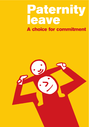# **A choice for commitment Paternity leave**

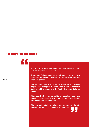# **10 days to be there**

**"**

**Did you know paternity leave has been extended from 3 to 10 days since 1 July 2002?**

**Nowadays fathers want to spend more time with their child, and rightly so! They want to be involved from the moment of birth.**

**The very first days of a child's life are an exceptional life experience, a magical moment when a new relationship begins and the couple and the family find a new balance in life.**

**Time spent with a newborn child is not only a happy and enriching experience, it also brings about a great feeling of bonding and commitment.**

**The new paternity leave allows you seven more days to enjoy those very first moments to the fullest. "**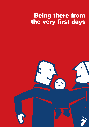# **Being there from the very first days**

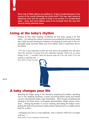**Since July of 2002, fathers are entitled to 10 days of paternity leave in the course of the month following the child's birth. This new right aimed at balancing work and the quality of living is an answer to a fundamental need : more and more fathers want to be involved from the very first days by taking paternity leave.** 

## **Living at the baby's rhythm**

**!**

Feeling its little heart beating, comforting its first tears, giving it its first baths… It's sharing the mother's emotions surrounding the arrival of the newly born child, but also sharing her tiredness. It's playing an active part in the irreplaceable early moments. More and more fathers want to experience this to the fullest.

*« For me, it was important to take the time and to be available from the start, from the moment of arrival from the maternity hospital. There are so many things to do… I wouldn't have let anyone else do it for me, even if it's not exactly a relaxing time ! »*

Pierre, father of Hugo, 9 months.



## **A baby changes your life**

Stocking the fridge, going to the chemist's, preparing the bottles, operating one or two washing machines, a quick vacuuming before family and friends come to visit between baths, naps and bottles… Don't forget completing and sending in all those forms: municipality administration, health service, insurance… driving big brother to soccer training, decorating the baby's room, getting the birth announcement cards printed, taking time for a cuddle and sit back for a while…

*« Arranging your time is a real challenge with a newborn child! It's a lot easier with two… »* Dimitri, father of three, including 3-month-old Julie.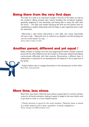## **Being there from the very first days**

The birth of a child is an important change in the life of the father as well as the mother's. Being present also means handling this turnabout together, gradually adapting to new demands, and being able to enjoy the calm after the storm… The days and weeks following the birth are the perfect time for establishing a quality relationship with the baby, to get organized and to start the adventure.

*« Becoming a dad means discovering a new daily role, being responsible 24 hours a day ! Taking the time to welcome my daughter was like bringing her into the world myself, my way… »* Jérôme, father of Clara, 6 months.

## **Another parent, different and yet equal !**

Walks, bottles or tickling: from the very beginning the father creates a special bond with his child. Different from the mother's. It has been determined babies communicate differently with their parents. Discovering a different type of relationship is important for its development, the balance in the couple and in the family.



*« Today's fathers dare to engage themselves in the development of their child. »* Marcel Rufo, child psychiatrist.

## **More time, less stress**

More time, less stress. Paternity leave allows a good start in a serene climate, a plus for all family members, making it easier to adapt to the new rhythm and to go back to work in a more relaxed manner.

*« Family harmony is good for the work situation. Paternity leave is aimed at a better balance and a fairer repartition of family obligations. »* Patrick, manager of an SME and father of two.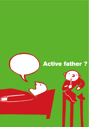# **Active father ?**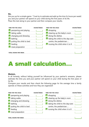### **Sir,**

Are you up for a simple game ? Just try to estimate and add up the time (in hours per week) you and your partner will spend on your child during the first years of its life. Pass this test along to your partner and then compare your results.

| TIME FOR THE CHILD             | <b>HOURS/WEEK</b> | TIME FOR THE CHILD                         | <b>HOURS/WEEK</b> |
|--------------------------------|-------------------|--------------------------------------------|-------------------|
| 1 pampering and playing        |                   | 8 shopping                                 |                   |
| 2 taking walks                 |                   | <b>e</b> clearing up the baby's room       |                   |
| <b>8</b> changing and dressing |                   | 10 doing the dishes                        |                   |
| bathing<br>$\mathbf{A}$        |                   | <b>11</b> taking the child to the day-care |                   |
| 5 putting the child to bed     |                   | centre, the pediatrician                   |                   |
| feeding<br>6                   |                   | <b>12</b> nursing the child when it is ill |                   |
| 7 meal preparation             |                   |                                            |                   |
|                                |                   |                                            |                   |
| <b>TOTAL HOURS PER WEEK</b>    |                   |                                            |                   |

# **A small calculation…**

#### **Madam,**

In all honesty, without letting yourself be influenced by your partner's answers, please estimate the time you and your partner will spend on your child during the first years of its life.

Compare your results and then check the following page for the average time a family spends on these activities and how they are organized!

| TIME FOR THE CHILD             | <b>HOURS/WEEK</b> | TIME FOR THE CHILD                         | <b>HOURS/WEEK</b> |
|--------------------------------|-------------------|--------------------------------------------|-------------------|
| 1 pampering and playing        |                   | 8 shopping                                 |                   |
| 2 taking walks                 |                   | <b>9</b> clearing up the baby's room       |                   |
| <b>3</b> changing and dressing |                   | 10 doing the dishes                        |                   |
| 4 bathing                      |                   | <b>11</b> taking the child to the day-care |                   |
| 5 putting the child to bed     |                   | centre, the pediatrician                   |                   |
| 6 feeding                      |                   | <b>D</b> nursing the child when it is ill  |                   |
| 7 meal preparation             |                   |                                            |                   |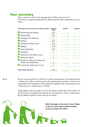## **Your summary**

Take a minute to look at the average times! Where do you fit in? This table is a great starting point for discussing the daily organization of your family.

| TIME SPENT ON THE CHILD BY THE COUPLE ALONE | <b>AVERAGE</b><br><b>TIME</b> | <b>FATHER</b> | <b>MOTHER</b> |
|---------------------------------------------|-------------------------------|---------------|---------------|
| 1 pampering and playing                     | 3,5                           |               |               |
| taking walks<br>$\vert$ 2                   | 3,5                           |               |               |
| <b>8</b> changing and dressing              | 7                             |               |               |
| 4 bathing                                   | 3,5                           |               |               |
| 5 putting the child to bed                  | 3,5                           |               |               |
| 6 feeding                                   | 10,5                          |               |               |
| 7 meal preparation                          | 3,5                           |               |               |
| 8 shopping                                  |                               |               |               |
| <b>9</b> clearing up the baby's room        | 1                             |               |               |
| <b>n</b> doing the dishes                   | 2                             |               |               |
| <b>11</b> taking the child to the day-care  |                               |               |               |
| centre, the pediatrician                    | 4                             |               |               |
| <b>12</b> nursing the child when it is ill  | 2                             |               |               |
| <b>TOTAL HOURS PER WEEK</b>                 | 45                            |               |               |

**8** & **9**

As you see, the arrival of a child into a family corresponds to the equivalent of a fulltime job. When combining this with professional activities a minimum of organization and repartition of the (paid and unpaid) work is necessary to live in harmony as a couple and as a family.

Today fathers have the right to live at the baby's rhythm from the moment of its birth and to reorganize their family life according to it. This is made possible by different types of leave that can be taken.

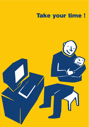# **Take your time !**

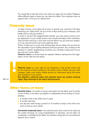You would like to take the time to be with your baby and its mother? Belgium offers different types of leave you can take as a father. Your employer may not oppose them or fire you for taking them.

## **Paternity leave**

10 days of leave, to be taken all at once or spread over a period of 30 days following your child's birth. On top of the 3 days paid by your employer, your health service will pay another 7.

In order to receive this supplementary benefit, you only need to send a written application to your health service and include the baby's birth certificate. They will then send you a form that must be filled in by you and your employer to be returned at the end of the paternity leave.

These 10 days are on a par with working days and are taken into account for the calculation of your holiday allowance and your pension. So, contrary to the situation in certain neighbouring countries, you will keep a large part of your pay and your social rights.

**Adoption leave** is a similar leave for adoptive fathers, starting from the registration of the child into the family.

**Paternity leave** is a new right for all employees in the private sector and for the majority of those working in the public sector. Please ask your staff manager, trade union and/or health service for information about the terms and conditions in your sector.

**10** & **11**

**!**

**Pay attention, paternity leave and parental leave are quickly evolving rights. Stay informed of the latest developments.**

## **Other forms of leave**

**Parental leave :** 3 months of career interruption for the father and 3 months for the mother, to be taken up together or separately and according to 3 possibilities.

- 3 months solid in the child's first 4 years
- 6 months part-time
- one day per week during a period of 15 months to keep in line with one's work as well as one's family.

**Converted maternity leave :** the maternity leave that could not be taken by the mother because of a long hospitalization or decease, can be taken up completely or partially by the father, the situation being due to circumstances beyond one's control.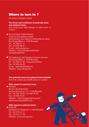## **Where to turn to ?**

For further information about

### **The terms and conditions of paternity leave and paternal leave**

first consult your staff manager or trade union, or contact :

▶ Service Public Fédéral Emploi, Travail et Concertation sociale Administration des relations individuelles du travail Rue Ernest Blerot 1, 1070 Brussels Tel. : 02 233 41 11 Fax : 02 233 48 21 E-mail : rit@meta.fgov.be Website : www.meta.fgov.be/pa/paa/ framesetfrcg00.htm

 $\blacktriangleright$  The Institute for the Equality of women and men Rue Ernest Blerot 1, 1070 Brussels Tel. : 02 233 41 95 - Françoise Goffinet Fax : 02 233 40 32 E-mail : egalite@meta.fgov.be Website : www.iefh.fgov.be

**The paternity leave and paternal leave benefits**

first of all consult your health service or contact :

### **With regard to paternity leave :**

 $\blacktriangleright$  I.N.A.M.I.

Service des Indemnités Avenue de Tervuren 211, 1150 Brussels Tel. : 02 739 76 69 - 02 739 76 55 Fax : 02 739 72 91 Website : http://riziv.fgov.be/insurer/fr/ allaitement/news020814.htm

#### **With regard to paternal leave:**

 $\triangleright$  O.N.E.M. Boulevard de l'Empereur 7, 1000 Brussels Tel. : 02 515 41 11 Fax : 02 514 11 06 Website : www.onem.fgov.be